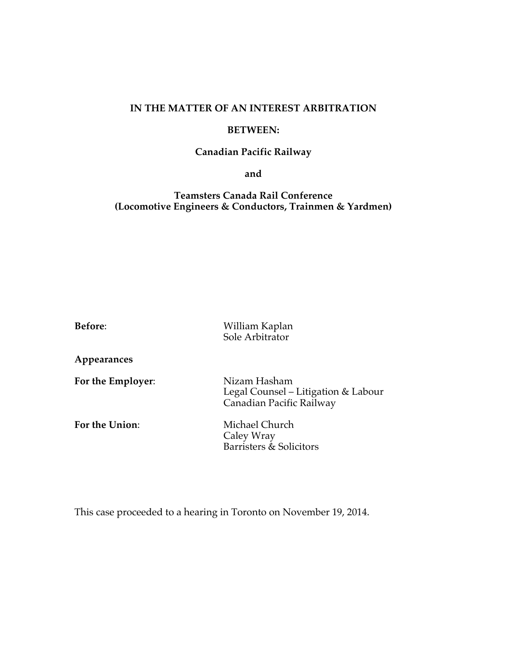## **IN THE MATTER OF AN INTEREST ARBITRATION**

## **BETWEEN:**

## **Canadian Pacific Railway**

**and** 

**Teamsters Canada Rail Conference (Locomotive Engineers & Conductors, Trainmen & Yardmen)**

| Before:           | William Kaplan<br>Sole Arbitrator                                               |
|-------------------|---------------------------------------------------------------------------------|
| Appearances       |                                                                                 |
| For the Employer: | Nizam Hasham<br>Legal Counsel – Litigation & Labour<br>Canadian Pacific Railway |
| For the Union:    | Michael Church<br>Caley Wray<br>Barristers & Solicitors                         |

This case proceeded to a hearing in Toronto on November 19, 2014.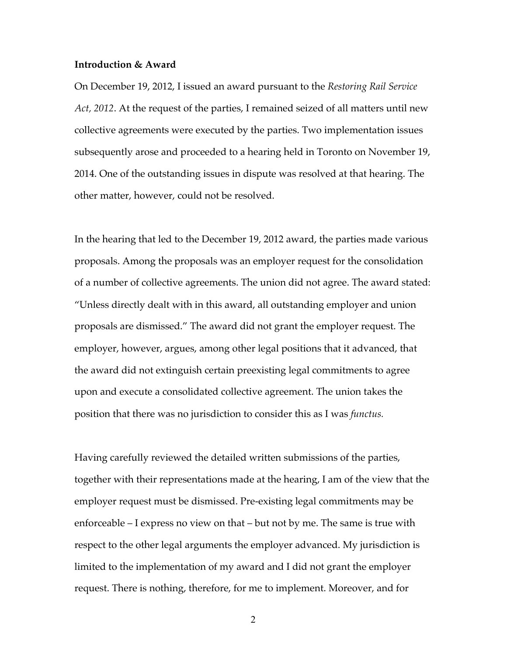## **Introduction & Award**

On December 19, 2012, I issued an award pursuant to the *Restoring Rail Service Act, 2012*. At the request of the parties, I remained seized of all matters until new collective agreements were executed by the parties. Two implementation issues subsequently arose and proceeded to a hearing held in Toronto on November 19, 2014. One of the outstanding issues in dispute was resolved at that hearing. The other matter, however, could not be resolved.

In the hearing that led to the December 19, 2012 award, the parties made various proposals. Among the proposals was an employer request for the consolidation of a number of collective agreements. The union did not agree. The award stated: "Unless directly dealt with in this award, all outstanding employer and union proposals are dismissed." The award did not grant the employer request. The employer, however, argues, among other legal positions that it advanced, that the award did not extinguish certain preexisting legal commitments to agree upon and execute a consolidated collective agreement. The union takes the position that there was no jurisdiction to consider this as I was *functus.*

Having carefully reviewed the detailed written submissions of the parties, together with their representations made at the hearing, I am of the view that the employer request must be dismissed. Pre-existing legal commitments may be enforceable – I express no view on that – but not by me. The same is true with respect to the other legal arguments the employer advanced. My jurisdiction is limited to the implementation of my award and I did not grant the employer request. There is nothing, therefore, for me to implement. Moreover, and for

2